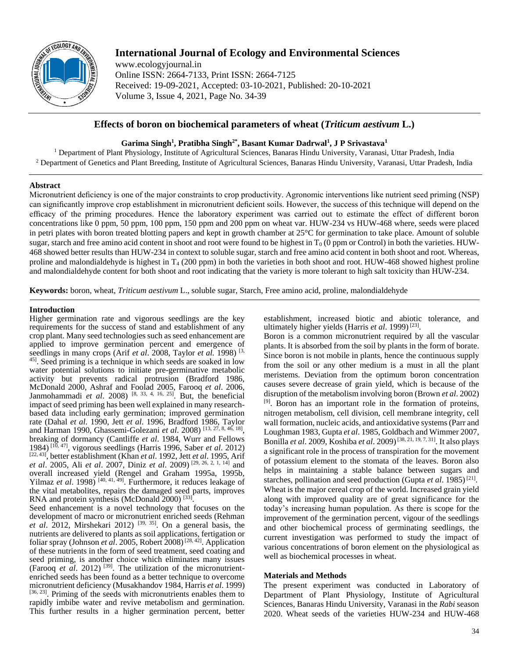

# **International Journal of Ecology and Environmental Sciences**

www.ecologyjournal.in Online ISSN: 2664-7133, Print ISSN: 2664-7125 Received: 19-09-2021, Accepted: 03-10-2021, Published: 20-10-2021 Volume 3, Issue 4, 2021, Page No. 34-39

## **Effects of boron on biochemical parameters of wheat (***Triticum aestivum* **L.)**

## **Garima Singh<sup>1</sup> , Pratibha Singh2\*, Basant Kumar Dadrwal<sup>1</sup> , J P Srivastava<sup>1</sup>**

<sup>1</sup> Department of Plant Physiology, Institute of Agricultural Sciences, Banaras Hindu University, Varanasi, Uttar Pradesh, India <sup>2</sup> Department of Genetics and Plant Breeding, Institute of Agricultural Sciences, Banaras Hindu University, Varanasi, Uttar Pradesh, India

## **Abstract**

Micronutrient deficiency is one of the major constraints to crop productivity. Agronomic interventions like nutrient seed priming (NSP) can significantly improve crop establishment in micronutrient deficient soils. However, the success of this technique will depend on the efficacy of the priming procedures. Hence the laboratory experiment was carried out to estimate the effect of different boron concentrations like 0 ppm, 50 ppm, 100 ppm, 150 ppm and 200 ppm on wheat var. HUW-234 vs HUW-468 where, seeds were placed in petri plates with boron treated blotting papers and kept in growth chamber at 25°C for germination to take place. Amount of soluble sugar, starch and free amino acid content in shoot and root were found to be highest in  $T_0$  (0 ppm or Control) in both the varieties. HUW-468 showed better results than HUW-234 in context to soluble sugar, starch and free amino acid content in both shoot and root. Whereas, proline and malondialdehyde is highest in  $T_4$  (200 ppm) in both the varieties in both shoot and root. HUW-468 showed highest proline and malondialdehyde content for both shoot and root indicating that the variety is more tolerant to high salt toxicity than HUW-234.

**Keywords:** boron, wheat, *Triticum aestivum* L., soluble sugar, Starch, Free amino acid, proline, malondialdehyde

### **Introduction**

Higher germination rate and vigorous seedlings are the key requirements for the success of stand and establishment of any crop plant. Many seed technologies such as seed enhancement are applied to improve germination percent and emergence of seedlings in many crops (Arif *et al*. 2008, Taylor *et al.* 1998) [3, 45]. Seed priming is a technique in which seeds are soaked in low water potential solutions to initiate pre-germinative metabolic activity but prevents radical protrusion (Bradford 1986, McDonald 2000, Ashraf and Foolad 2005, Farooq *et al*. 2006, Janmohammadi *et al*. 2008) [8, 33, 4, 16, 25]. But, the beneficial impact of seed priming has been well explained in many researchbased data including early germination; improved germination rate (Dahal *et al.* 1990, Jett *et al*. 1996, Bradford 1986, Taylor and Harman 1990, Ghassemi-Golezani *et al*. 2008) [13, 27, 8, 46, 18] , breaking of dormancy (Cantliffe *et al*. 1984, Wurr and Fellows 1984) [10, 47], vigorous seedlings (Harris 1996, Saber *et al*. 2012) [22, 43] , better establishment (Khan *et al*. 1992, Jett *et al*. 1995, Arif *et al*. 2005, Ali *et al*. 2007, Diniz *et al*. 2009) [29, 26, 2, 1, 14] and overall increased yield (Rengel and Graham 1995a, 1995b, Yilmaz *et al.* 1998)<sup>[40, 41, 49]. Furthermore, it reduces leakage of</sup> the vital metabolites, repairs the damaged seed parts, improves RNA and protein synthesis (McDonald 2000)<sup>[33]</sup>.

Seed enhancement is a novel technology that focuses on the development of macro or micronutrient enriched seeds (Rehman *et al.* 2012, Mirshekari 2012) <sup>[39, 35]</sup>. On a general basis, the nutrients are delivered to plants as soil applications, fertigation or foliar spray (Johnson *et al.* 2005, Robert 2008)<sup>[28, 42]</sup>. Application of these nutrients in the form of seed treatment, seed coating and seed priming, is another choice which eliminates many issues (Farooq *et al*. 2012) [39]. The utilization of the micronutrientenriched seeds has been found as a better technique to overcome micronutrient deficiency (Musakhandov 1984, Harris *et al*. 1999) [36, 23]. Priming of the seeds with micronutrients enables them to rapidly imbibe water and revive metabolism and germination. This further results in a higher germination percent, better

establishment, increased biotic and abiotic tolerance, and ultimately higher yields (Harris et al. 1999)<sup>[23]</sup>.

Boron is a common micronutrient required by all the vascular plants. It is absorbed from the soil by plants in the form of borate. Since boron is not mobile in plants, hence the continuous supply from the soil or any other medium is a must in all the plant meristems. Deviation from the optimum boron concentration causes severe decrease of grain yield, which is because of the disruption of the metabolism involving boron (Brown *et al*. 2002) [9]. Boron has an important role in the formation of proteins, nitrogen metabolism, cell division, cell membrane integrity, cell wall formation, nucleic acids, and antioxidative systems (Parr and Loughman 1983, Gupta *et al*. 1985, Goldbach and Wimmer 2007, Bonilla *et al*. 2009, Koshiba *et al*. 2009)[38, 21, 19, 7, 31]. It also plays a significant role in the process of transpiration for the movement of potassium element to the stomata of the leaves. Boron also helps in maintaining a stable balance between sugars and starches, pollination and seed production (Gupta *et al.* 1985)<sup>[21]</sup>. Wheat is the major cereal crop of the world. Increased grain yield along with improved quality are of great significance for the today's increasing human population. As there is scope for the improvement of the germination percent, vigour of the seedlings and other biochemical process of germinating seedlings, the current investigation was performed to study the impact of various concentrations of boron element on the physiological as well as biochemical processes in wheat.

## **Materials and Methods**

The present experiment was conducted in Laboratory of Department of Plant Physiology, Institute of Agricultural Sciences, Banaras Hindu University, Varanasi in the *Rabi* season 2020. Wheat seeds of the varieties HUW-234 and HUW-468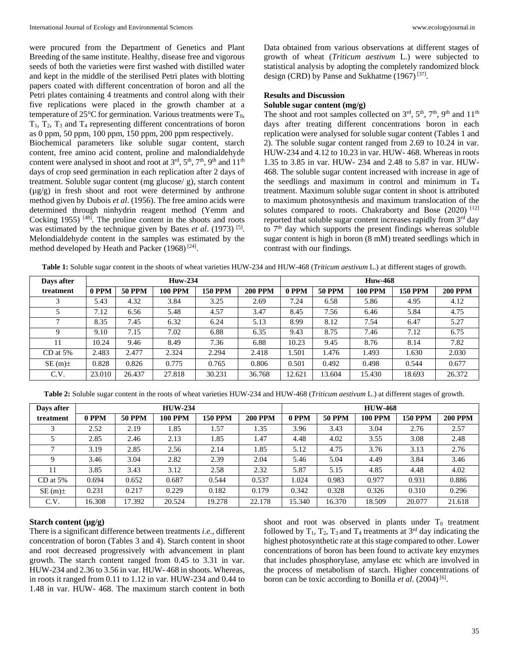were procured from the Department of Genetics and Plant Breeding of the same institute. Healthy, disease free and vigorous seeds of both the varieties were first washed with distilled water and kept in the middle of the sterilised Petri plates with blotting papers coated with different concentration of boron and all the Petri plates containing 4 treatments and control along with their five replications were placed in the growth chamber at a temperature of 25 $\mathrm{^{\circ}C}$  for germination. Various treatments were  $T_0$ ,  $T_1$ ,  $T_2$ ,  $T_3$  and  $T_4$  representing different concentrations of boron as 0 ppm, 50 ppm, 100 ppm, 150 ppm, 200 ppm respectively.

Biochemical parameters like soluble sugar content, starch content, free amino acid content, proline and malondialdehyde content were analysed in shoot and root at  $3<sup>rd</sup>$ ,  $5<sup>th</sup>$ ,  $7<sup>th</sup>$ ,  $9<sup>th</sup>$  and  $11<sup>th</sup>$ days of crop seed germination in each replication after 2 days of treatment. Soluble sugar content (mg glucose/ g), starch content  $(\mu g/g)$  in fresh shoot and root were determined by anthrone method given by Dubois *et al*. (1956). The free amino acids were determined through ninhydrin reagent method (Yemm and Cocking 1955)  $[48]$ . The proline content in the shoots and roots was estimated by the technique given by Bates *et al.* (1973)<sup>[5]</sup>. Melondialdehyde content in the samples was estimated by the method developed by Heath and Packer  $(1968)^{[24]}$ .

Data obtained from various observations at different stages of growth of wheat (*Triticum aestivum* L.) were subjected to statistical analysis by adopting the completely randomized block design (CRD) by Panse and Sukhatme  $(1967)^{[37]}$ .

## **Results and Discussion**

#### **Soluble sugar content (mg/g)**

The shoot and root samples collected on 3<sup>rd</sup>, 5<sup>th</sup>, 7<sup>th</sup>, 9<sup>th</sup> and 11<sup>th</sup> days after treating different concentrations boron in each replication were analysed for soluble sugar content (Tables 1 and 2). The soluble sugar content ranged from 2.69 to 10.24 in var. HUW-234 and 4.12 to 10.23 in var. HUW- 468. Whereas in roots 1.35 to 3.85 in var. HUW- 234 and 2.48 to 5.87 in var. HUW-468. The soluble sugar content increased with increase in age of the seedlings and maximum in control and minimum in  $T_4$ treatment. Maximum soluble sugar content in shoot is attributed to maximum photosynthesis and maximum translocation of the solutes compared to roots. Chakraborty and Bose (2020) [12] reported that soluble sugar content increases rapidly from 3<sup>rd</sup> day to 7<sup>th</sup> day which supports the present findings whereas soluble sugar content is high in boron (8 mM) treated seedlings which in contrast with our findings.

| Table 1: Soluble sugar content in the shoots of wheat varieties HUW-234 and HUW-468 (Triticum aestivum L.) at different stages of growth. |  |
|-------------------------------------------------------------------------------------------------------------------------------------------|--|
|-------------------------------------------------------------------------------------------------------------------------------------------|--|

| Days after   |        |               | <b>Huw-234</b> |                |                | <b>Huw-468</b> |               |                |                |                |  |
|--------------|--------|---------------|----------------|----------------|----------------|----------------|---------------|----------------|----------------|----------------|--|
| treatment    | 0 PPM  | <b>50 PPM</b> | <b>100 PPM</b> | <b>150 PPM</b> | <b>200 PPM</b> | 0 PPM          | <b>50 PPM</b> | <b>100 PPM</b> | <b>150 PPM</b> | <b>200 PPM</b> |  |
| 3            | 5.43   | 4.32          | 3.84           | 3.25           | 2.69           | 7.24           | 6.58          | 5.86           | 4.95           | 4.12           |  |
|              | 7.12   | 6.56          | 5.48           | 4.57           | 3.47           | 8.45           | 7.56          | 6.46           | 5.84           | 4.75           |  |
| $\mathbf{7}$ | 8.35   | 7.45          | 6.32           | 6.24           | 5.13           | 8.99           | 8.12          | 7.54           | 6.47           | 5.27           |  |
| 9            | 9.10   | 7.15          | 7.02           | 6.88           | 6.35           | 9.43           | 8.75          | 7.46           | 7.12           | 6.75           |  |
| 11           | 10.24  | 9.46          | 8.49           | 7.36           | 6.88           | 10.23          | 9.45          | 8.76           | 8.14           | 7.82           |  |
| $CD$ at 5%   | 2.483  | 2.477         | 2.324          | 2.294          | 2.418          | 1.501          | 1.476         | 1.493          | 1.630          | 2.030          |  |
| $SE(m)$ ±    | 0.828  | 0.826         | 0.775          | 0.765          | 0.806          | 0.501          | 0.492         | 0.498          | 0.544          | 0.677          |  |
| C.V.         | 23.010 | 26.437        | 27.818         | 30.231         | 36.768         | 12.621         | 13.604        | 15.430         | 18.693         | 26.372         |  |

**Table 2:** Soluble sugar content in the roots of wheat varieties HUW-234 and HUW-468 (*Triticum aestivum* L.) at different stages of growth.

| Days after |        |               | <b>HUW-234</b> |                |                | <b>HUW-468</b> |               |                |                |                |  |
|------------|--------|---------------|----------------|----------------|----------------|----------------|---------------|----------------|----------------|----------------|--|
| treatment  | 0 PPM  | <b>50 PPM</b> | 100 PPM        | <b>150 PPM</b> | <b>200 PPM</b> | 0 PPM          | <b>50 PPM</b> | <b>100 PPM</b> | <b>150 PPM</b> | <b>200 PPM</b> |  |
|            | 2.52   | 2.19          | 1.85           | 1.57           | 1.35           | 3.96           | 3.43          | 3.04           | 2.76           | 2.57           |  |
|            | 2.85   | 2.46          | 2.13           | 1.85           | 1.47           | 4.48           | 4.02          | 3.55           | 3.08           | 2.48           |  |
|            | 3.19   | 2.85          | 2.56           | 2.14           | 1.85           | 5.12           | 4.75          | 3.76           | 3.13           | 2.76           |  |
|            | 3.46   | 3.04          | 2.82           | 2.39           | 2.04           | 5.46           | 5.04          | 4.49           | 3.84           | 3.46           |  |
|            | 3.85   | 3.43          | 3.12           | 2.58           | 2.32           | 5.87           | 5.15          | 4.85           | 4.48           | 4.02           |  |
| $CD$ at 5% | 0.694  | 0.652         | 0.687          | 0.544          | 0.537          | 1.024          | 0.983         | 0.977          | 0.931          | 0.886          |  |
| $SE(m)$ ±  | 0.231  | 0.217         | 0.229          | 0.182          | 0.179          | 0.342          | 0.328         | 0.326          | 0.310          | 0.296          |  |
| C.V.       | 16.308 | 17.392        | 20.524         | 19.278         | 22.178         | 15.340         | 16.370        | 18.509         | 20.077         | 21.618         |  |

#### **Starch content (µg/g)**

There is a significant difference between treatments *i.e.*, different concentration of boron (Tables 3 and 4). Starch content in shoot and root decreased progressively with advancement in plant growth. The starch content ranged from 0.45 to 3.31 in var. HUW-234 and 2.36 to 3.56 in var. HUW- 468 in shoots. Whereas, in roots it ranged from 0.11 to 1.12 in var. HUW-234 and 0.44 to 1.48 in var. HUW- 468. The maximum starch content in both

shoot and root was observed in plants under  $T_0$  treatment followed by  $T_1$ ,  $T_2$ ,  $T_3$  and  $T_4$  treatments at 3<sup>rd</sup> day indicating the highest photosynthetic rate at this stage compared to other. Lower concentrations of boron has been found to activate key enzymes that includes phosphorylase, amylase etc which are involved in the process of metabolism of starch. Higher concentrations of boron can be toxic according to Bonilla et al. (2004)<sup>[6]</sup>.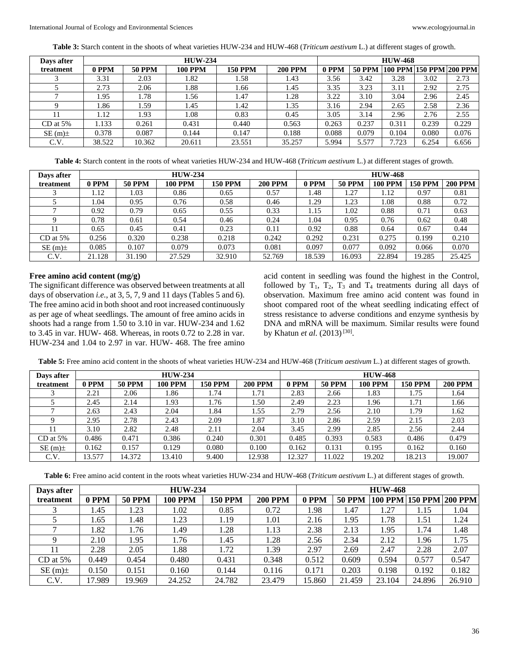**Table 3:** Starch content in the shoots of wheat varieties HUW-234 and HUW-468 (*Triticum aestivum* L.) at different stages of growth.

| Days after |        |               | <b>HUW-234</b> |                |                | <b>HUW-468</b> |               |       |       |                                      |  |
|------------|--------|---------------|----------------|----------------|----------------|----------------|---------------|-------|-------|--------------------------------------|--|
| treatment  | 0 PPM  | <b>50 PPM</b> | <b>100 PPM</b> | <b>150 PPM</b> | <b>200 PPM</b> | 0 PPM          | <b>50 PPM</b> |       |       | $ 100$ PPM $ 150$ PPM $ 200$ PPM $ $ |  |
|            | 3.31   | 2.03          | 1.82           | . . 58         | 1.43           | 3.56           | 3.42          | 3.28  | 3.02  | 2.73                                 |  |
|            | 2.73   | 2.06          | 1.88           | 1.66           | 1.45           | 3.35           | 3.23          | 3.11  | 2.92  | 2.75                                 |  |
|            | 1.95   | l.78          | 1.56           | 1.47           | 1.28           | 3.22           | 3.10          | 3.04  | 2.96  | 2.45                                 |  |
|            | 1.86   | .59           | 1.45           | 1.42           | 1.35           | 3.16           | 2.94          | 2.65  | 2.58  | 2.36                                 |  |
|            | 1.12   | .93           | 1.08           | 0.83           | 0.45           | 3.05           | 3.14          | 2.96  | 2.76  | 2.55                                 |  |
| $CD$ at 5% | 1.133  | 0.261         | 0.431          | 0.440          | 0.563          | 0.263          | 0.237         | 0.311 | 0.239 | 0.229                                |  |
| $SE(m)$ ±  | 0.378  | 0.087         | 0.144          | 0.147          | 0.188          | 0.088          | 0.079         | 0.104 | 0.080 | 0.076                                |  |
| C.V.       | 38.522 | 10.362        | 20.611         | 23.551         | 35.257         | 5.994          | 5.577         | 7.723 | 6.254 | 6.656                                |  |

**Table 4:** Starch content in the roots of wheat varieties HUW-234 and HUW-468 (*Triticum aestivum* L.) at different stages of growth.

| Days after |        |               | <b>HUW-234</b> |                |                | <b>HUW-468</b>  |               |                |         |                |  |
|------------|--------|---------------|----------------|----------------|----------------|-----------------|---------------|----------------|---------|----------------|--|
| treatment  | 0 PPM  | <b>50 PPM</b> | <b>100 PPM</b> | <b>150 PPM</b> | <b>200 PPM</b> | 0 PPM           | <b>50 PPM</b> | <b>100 PPM</b> | 150 PPM | <b>200 PPM</b> |  |
|            | l.12   | 1.03          | 0.86           | 0.65           | 0.57           | 1.48            | 1.27          | 1.12           | 0.97    | 0.81           |  |
|            | .04    | 0.95          | 0.76           | 0.58           | 0.46           | L <sub>29</sub> | 1.23          | l.08           | 0.88    | 0.72           |  |
|            | 0.92   | 0.79          | 0.65           | 0.55           | 0.33           | 1.15            | 1.02          | 0.88           | 0.71    | 0.63           |  |
|            | 0.78   | 0.61          | 0.54           | 0.46           | 0.24           | l.04            | 0.95          | 0.76           | 0.62    | 0.48           |  |
|            | 0.65   | 0.45          | 0.41           | 0.23           | 0.11           | 0.92            | 0.88          | 0.64           | 0.67    | 0.44           |  |
| $CD$ at 5% | 0.256  | 0.320         | 0.238          | 0.218          | 0.242          | 0.292           | 0.231         | 0.275          | 0.199   | 0.210          |  |
| $SE(m)$ ±  | 0.085  | 0.107         | 0.079          | 0.073          | 0.081          | 0.097           | 0.077         | 0.092          | 0.066   | 0.070          |  |
| C.V.       | 21.128 | 31.190        | 27.529         | 32.910         | 52.769         | 18.539          | 16.093        | 22.894         | 19.285  | 25.425         |  |

#### **Free amino acid content (mg/g)**

The significant difference was observed between treatments at all days of observation *i.e.*, at 3, 5, 7, 9 and 11 days (Tables 5 and 6). The free amino acid in both shoot and root increased continuously as per age of wheat seedlings. The amount of free amino acids in shoots had a range from 1.50 to 3.10 in var. HUW-234 and 1.62 to 3.45 in var. HUW- 468. Whereas, in roots 0.72 to 2.28 in var. HUW-234 and 1.04 to 2.97 in var. HUW- 468. The free amino

acid content in seedling was found the highest in the Control, followed by  $T_1$ ,  $T_2$ ,  $T_3$  and  $T_4$  treatments during all days of observation. Maximum free amino acid content was found in shoot compared root of the wheat seedling indicating effect of stress resistance to adverse conditions and enzyme synthesis by DNA and mRNA will be maximum. Similar results were found by Khatun *et al.* (2013)<sup>[30]</sup>.

**Table 5:** Free amino acid content in the shoots of wheat varieties HUW-234 and HUW-468 (*Triticum aestivum* L.) at different stages of growth.

| Days after |        |               | <b>HUW-234</b> |                |                | <b>HUW-468</b> |               |                |                |                |  |
|------------|--------|---------------|----------------|----------------|----------------|----------------|---------------|----------------|----------------|----------------|--|
| treatment  | 0 PPM  | <b>50 PPM</b> | 100 PPM        | <b>150 PPM</b> | <b>200 PPM</b> | 0 PPM          | <b>50 PPM</b> | <b>100 PPM</b> | <b>150 PPM</b> | <b>200 PPM</b> |  |
|            | 2.21   | 2.06          | 1.86           | 1.74           | 1.71           | 2.83           | 2.66          | 1.83           | 1.75           | 1.64           |  |
|            | 2.45   | 2.14          | 1.93           | 1.76           | 1.50           | 2.49           | 2.23          | .96            | 1.71           | 1.66           |  |
|            | 2.63   | 2.43          | 2.04           | 1.84           | 1.55           | 2.79           | 2.56          | 2.10           | 1.79           | 1.62           |  |
|            | 2.95   | 2.78          | 2.43           | 2.09           | 1.87           | 3.10           | 2.86          | 2.59           | 2.15           | 2.03           |  |
|            | 3.10   | 2.82          | 2.48           | 2.11           | 2.04           | 3.45           | 2.99          | 2.85           | 2.56           | 2.44           |  |
| $CD$ at 5% | 0.486  | 0.471         | 0.386          | 0.240          | 0.301          | 0.485          | 0.393         | 0.583          | 0.486          | 0.479          |  |
| $SE(m)$ ±  | 0.162  | 0.157         | 0.129          | 0.080          | 0.100          | 0.162          | 0.131         | 0.195          | 0.162          | 0.160          |  |
| C.V.       | 13.577 | 14.372        | 13.410         | 9.400          | 12.938         | 12.327         | 1.022         | 19.202         | 18.213         | 19.007         |  |

**Table 6:** Free amino acid content in the roots wheat varieties HUW-234 and HUW-468 (*Triticum aestivum* L.) at different stages of growth.

| Days after   |        |               | <b>HUW-234</b> |                |                | <b>HUW-468</b> |               |                |        |                 |  |
|--------------|--------|---------------|----------------|----------------|----------------|----------------|---------------|----------------|--------|-----------------|--|
| treatment    | 0 PPM  | <b>50 PPM</b> | 100 PPM        | <b>150 PPM</b> | <b>200 PPM</b> | 0 PPM          | <b>50 PPM</b> | <b>100 PPM</b> |        | 150 PPM 200 PPM |  |
|              | 1.45   | 1.23          | 1.02           | 0.85           | 0.72           | 1.98           | 1.47          | 1.27           | 1.15   | 1.04            |  |
|              | .65    | 1.48          | 1.23           | 1.19           | 1.01           | 2.16           | 1.95          | 1.78           | 1.51   | 1.24            |  |
| $\mathbf{r}$ | 1.82   | 1.76          | 1.49           | 1.28           | 1.13           | 2.38           | 2.13          | 1.95           | 1.74   | 1.48            |  |
| 9            | 2.10   | 1.95          | 1.76           | 1.45           | 1.28           | 2.56           | 2.34          | 2.12           | l.96   | 1.75            |  |
| 11           | 2.28   | 2.05          | 1.88           | 1.72           | 1.39           | 2.97           | 2.69          | 2.47           | 2.28   | 2.07            |  |
| $CD$ at 5%   | 0.449  | 0.454         | 0.480          | 0.431          | 0.348          | 0.512          | 0.609         | 0.594          | 0.577  | 0.547           |  |
| $SE(m)$ ±    | 0.150  | 0.151         | 0.160          | 0.144          | 0.116          | 0.171          | 0.203         | 0.198          | 0.192  | 0.182           |  |
| C.V.         | 17.989 | 19.969        | 24.252         | 24.782         | 23.479         | 15.860         | 21.459        | 23.104         | 24.896 | 26.910          |  |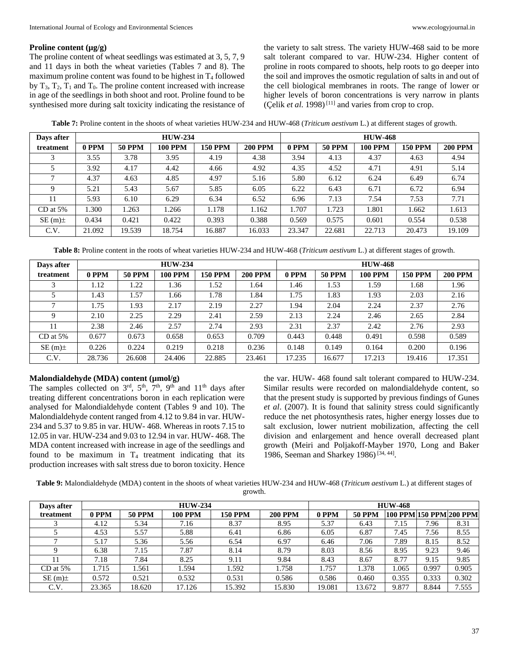#### **Proline content (µg/g)**

The proline content of wheat seedlings was estimated at 3, 5, 7, 9 and 11 days in both the wheat varieties (Tables 7 and 8). The maximum proline content was found to be highest in  $T_4$  followed by  $T_3$ ,  $T_2$ ,  $T_1$  and  $T_0$ . The proline content increased with increase in age of the seedlings in both shoot and root. Proline found to be synthesised more during salt toxicity indicating the resistance of the variety to salt stress. The variety HUW-468 said to be more salt tolerant compared to var. HUW-234. Higher content of proline in roots compared to shoots, help roots to go deeper into the soil and improves the osmotic regulation of salts in and out of the cell biological membranes in roots. The range of lower or higher levels of boron concentrations is very narrow in plants (Çelik *et al.* 1998)<sup>[11]</sup> and varies from crop to crop.

**Table 7:** Proline content in the shoots of wheat varieties HUW-234 and HUW-468 (*Triticum aestivum* L.) at different stages of growth.

| Days after |         |               | <b>HUW-234</b> |                |                | <b>HUW-468</b> |               |                |                |                |  |
|------------|---------|---------------|----------------|----------------|----------------|----------------|---------------|----------------|----------------|----------------|--|
| treatment  | $0$ PPM | <b>50 PPM</b> | 100 PPM        | <b>150 PPM</b> | <b>200 PPM</b> | 0 PPM          | <b>50 PPM</b> | <b>100 PPM</b> | <b>150 PPM</b> | <b>200 PPM</b> |  |
|            | 3.55    | 3.78          | 3.95           | 4.19           | 4.38           | 3.94           | 4.13          | 4.37           | 4.63           | 4.94           |  |
|            | 3.92    | 4.17          | 4.42           | 4.66           | 4.92           | 4.35           | 4.52          | 4.71           | 4.91           | 5.14           |  |
|            | 4.37    | 4.63          | 4.85           | 4.97           | 5.16           | 5.80           | 6.12          | 6.24           | 6.49           | 6.74           |  |
| Q          | 5.21    | 5.43          | 5.67           | 5.85           | 6.05           | 6.22           | 6.43          | 6.71           | 6.72           | 6.94           |  |
|            | 5.93    | 6.10          | 6.29           | 6.34           | 6.52           | 6.96           | 7.13          | 7.54           | 7.53           | 7.71           |  |
| $CD$ at 5% | 1.300   | 1.263         | 1.266          | 1.178          | 1.162          | 1.707          | 1.723         | 1.801          | 1.662          | 1.613          |  |
| $SE(m)$ ±  | 0.434   | 0.421         | 0.422          | 0.393          | 0.388          | 0.569          | 0.575         | 0.601          | 0.554          | 0.538          |  |
| C.V.       | 21.092  | 19.539        | 18.754         | 16.887         | 16.033         | 23.347         | 22.681        | 22.713         | 20.473         | 19.109         |  |

**Table 8:** Proline content in the roots of wheat varieties HUW-234 and HUW-468 (*Triticum aestivum* L.) at different stages of growth.

| Days after   |        |               | <b>HUW-234</b> |                |                | <b>HUW-468</b> |               |                |                |                |  |  |
|--------------|--------|---------------|----------------|----------------|----------------|----------------|---------------|----------------|----------------|----------------|--|--|
| treatment    | 0 PPM  | <b>50 PPM</b> | <b>100 PPM</b> | <b>150 PPM</b> | <b>200 PPM</b> | 0 PPM          | <b>50 PPM</b> | <b>100 PPM</b> | <b>150 PPM</b> | <b>200 PPM</b> |  |  |
|              | 1.12   | 1.22          | l.36           | l.52           | 1.64           | 1.46           | 1.53          | 1.59           | 1.68           | 1.96           |  |  |
|              | 1.43   | l.57          | 1.66           | 1.78           | 1.84           | 1.75           | 1.83          | 1.93           | 2.03           | 2.16           |  |  |
| $\mathbf{r}$ | 1.75   | 1.93          | 2.17           | 2.19           | 2.27           | 1.94           | 2.04          | 2.24           | 2.37           | 2.76           |  |  |
| Q            | 2.10   | 2.25          | 2.29           | 2.41           | 2.59           | 2.13           | 2.24          | 2.46           | 2.65           | 2.84           |  |  |
|              | 2.38   | 2.46          | 2.57           | 2.74           | 2.93           | 2.31           | 2.37          | 2.42           | 2.76           | 2.93           |  |  |
| $CD$ at 5%   | 0.677  | 0.673         | 0.658          | 0.653          | 0.709          | 0.443          | 0.448         | 0.491          | 0.598          | 0.589          |  |  |
| $SE(m)$ ±    | 0.226  | 0.224         | 0.219          | 0.218          | 0.236          | 0.148          | 0.149         | 0.164          | 0.200          | 0.196          |  |  |
| C.V.         | 28.736 | 26.608        | 24.406         | 22.885         | 23.461         | 17.235         | 16.677        | 17.213         | 19.416         | 17.351         |  |  |

#### **Malondialdehyde (MDA) content (µmol/g)**

The samples collected on  $3<sup>rd</sup>$ ,  $5<sup>th</sup>$ ,  $7<sup>th</sup>$ ,  $9<sup>th</sup>$  and  $11<sup>th</sup>$  days after treating different concentrations boron in each replication were analysed for Malondialdehyde content (Tables 9 and 10). The Malondialdehyde content ranged from 4.12 to 9.84 in var. HUW-234 and 5.37 to 9.85 in var. HUW- 468. Whereas in roots 7.15 to 12.05 in var. HUW-234 and 9.03 to 12.94 in var. HUW- 468. The MDA content increased with increase in age of the seedlings and found to be maximum in  $T_4$  treatment indicating that its production increases with salt stress due to boron toxicity. Hence the var. HUW- 468 found salt tolerant compared to HUW-234. Similar results were recorded on malondialdehyde content, so that the present study is supported by previous findings of Gunes *et al*. (2007). It is found that salinity stress could significantly reduce the net photosynthesis rates, higher energy losses due to salt exclusion, lower nutrient mobilization, affecting the cell division and enlargement and hence overall decreased plant growth (Meiri and Poljakoff-Mayber 1970, Long and Baker 1986, Seeman and Sharkey 1986)<sup>[34, 44]</sup>.

**Table 9:** Malondialdehyde (MDA) content in the shoots of wheat varieties HUW-234 and HUW-468 (*Triticum aestivum* L.) at different stages of growth.

| Days after |        |               | $HUW-234$      |                |                | <b>HUW-468</b> |               |       |                         |       |  |  |
|------------|--------|---------------|----------------|----------------|----------------|----------------|---------------|-------|-------------------------|-------|--|--|
| treatment  | 0 PPM  | <b>50 PPM</b> | <b>100 PPM</b> | <b>150 PPM</b> | <b>200 PPM</b> | 0 PPM          | <b>50 PPM</b> |       | 100 PPM 150 PPM 200 PPM |       |  |  |
|            | 4.12   | 5.34          | 7.16           | 8.37           | 8.95           | 5.37           | 6.43          | 7.15  | 7.96                    | 8.31  |  |  |
|            | 4.53   | 5.57          | 5.88           | 6.41           | 6.86           | 6.05           | 6.87          | 7.45  | 7.56                    | 8.55  |  |  |
|            | 5.17   | 5.36          | 5.56           | 6.54           | 6.97           | 6.46           | 7.06          | 7.89  | 8.15                    | 8.52  |  |  |
|            | 6.38   | 7.15          | 7.87           | 8.14           | 8.79           | 8.03           | 8.56          | 8.95  | 9.23                    | 9.46  |  |  |
| 11         | 7.18   | 7.84          | 8.25           | 9.11           | 9.84           | 8.43           | 8.67          | 8.77  | 9.15                    | 9.85  |  |  |
| $CD$ at 5% | 1.715  | 1.561         | 1.594          | 1.592          | 1.758          | 1.757          | 1.378         | .065  | 0.997                   | 0.905 |  |  |
| $SE(m)$ ±  | 0.572  | 0.521         | 0.532          | 0.531          | 0.586          | 0.586          | 0.460         | 0.355 | 0.333                   | 0.302 |  |  |
| C.V.       | 23.365 | 18.620        | 17.126         | 15.392         | 15.830         | 19.081         | 13.672        | 9.877 | 8.844                   | 7.555 |  |  |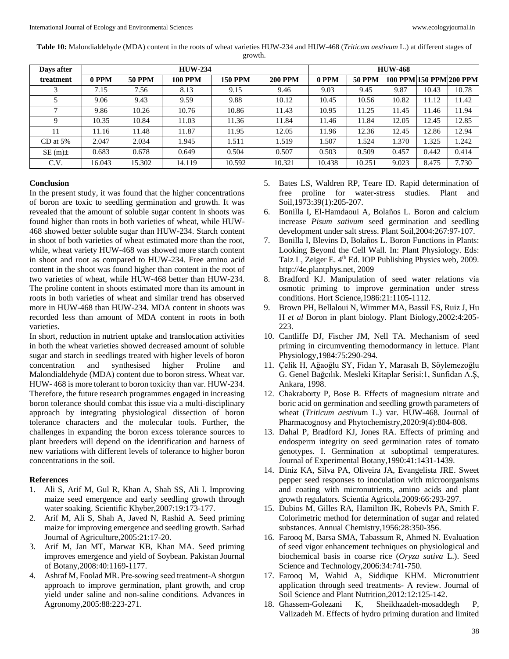**Table 10:** Malondialdehyde (MDA) content in the roots of wheat varieties HUW-234 and HUW-468 (*Triticum aestivum* L.) at different stages of growth.

| Days after |        |               | <b>HUW-234</b> |                |                | <b>HUW-468</b> |               |       |                           |       |  |
|------------|--------|---------------|----------------|----------------|----------------|----------------|---------------|-------|---------------------------|-------|--|
| treatment  | 0 PPM  | <b>50 PPM</b> | <b>100 PPM</b> | <b>150 PPM</b> | <b>200 PPM</b> | 0 PPM          | <b>50 PPM</b> |       | 100 PPM  150 PPM  200 PPM |       |  |
| 3          | 7.15   | 7.56          | 8.13           | 9.15           | 9.46           | 9.03           | 9.45          | 9.87  | 10.43                     | 10.78 |  |
|            | 9.06   | 9.43          | 9.59           | 9.88           | 10.12          | 10.45          | 10.56         | 10.82 | 11.12                     | 11.42 |  |
|            | 9.86   | 10.26         | 10.76          | 10.86          | 11.43          | 10.95          | 11.25         | 11.45 | 11.46                     | 11.94 |  |
| Q          | 10.35  | 10.84         | 11.03          | 11.36          | 11.84          | 11.46          | 11.84         | 12.05 | 12.45                     | 12.85 |  |
| 11         | 11.16  | 11.48         | 11.87          | 11.95          | 12.05          | 11.96          | 12.36         | 12.45 | 12.86                     | 12.94 |  |
| $CD$ at 5% | 2.047  | 2.034         | 1.945          | 1.511          | 1.519          | 1.507          | 1.524         | 1.370 | 1.325                     | 1.242 |  |
| $SE(m)$ ±  | 0.683  | 0.678         | 0.649          | 0.504          | 0.507          | 0.503          | 0.509         | 0.457 | 0.442                     | 0.414 |  |
| C.V.       | 16.043 | 15.302        | 14.119         | 10.592         | 10.321         | 10.438         | 10.251        | 9.023 | 8.475                     | 7.730 |  |

## **Conclusion**

In the present study, it was found that the higher concentrations of boron are toxic to seedling germination and growth. It was revealed that the amount of soluble sugar content in shoots was found higher than roots in both varieties of wheat, while HUW-468 showed better soluble sugar than HUW-234. Starch content in shoot of both varieties of wheat estimated more than the root, while, wheat variety HUW-468 was showed more starch content in shoot and root as compared to HUW-234. Free amino acid content in the shoot was found higher than content in the root of two varieties of wheat, while HUW-468 better than HUW-234. The proline content in shoots estimated more than its amount in roots in both varieties of wheat and similar trend has observed more in HUW-468 than HUW-234. MDA content in shoots was recorded less than amount of MDA content in roots in both varieties.

In short, reduction in nutrient uptake and translocation activities in both the wheat varieties showed decreased amount of soluble sugar and starch in seedlings treated with higher levels of boron concentration and synthesised higher Proline and Malondialdehyde (MDA) content due to boron stress. Wheat var. HUW- 468 is more tolerant to boron toxicity than var. HUW-234. Therefore, the future research programmes engaged in increasing boron tolerance should combat this issue via a multi-disciplinary approach by integrating physiological dissection of boron tolerance characters and the molecular tools. Further, the challenges in expanding the boron excess tolerance sources to plant breeders will depend on the identification and harness of new variations with different levels of tolerance to higher boron concentrations in the soil.

#### **References**

- 1. Ali S, Arif M, Gul R, Khan A, Shah SS, Ali I. Improving maize seed emergence and early seedling growth through water soaking. Scientific Khyber,2007:19:173-177.
- 2. Arif M, Ali S, Shah A, Javed N, Rashid A. Seed priming maize for improving emergence and seedling growth. Sarhad Journal of Agriculture,2005:21:17-20.
- 3. Arif M, Jan MT, Marwat KB, Khan MA. Seed priming improves emergence and yield of Soybean. Pakistan Journal of Botany,2008:40:1169-1177.
- 4. Ashraf M, Foolad MR. Pre‐sowing seed treatment-A shotgun approach to improve germination, plant growth, and crop yield under saline and non‐saline conditions. Advances in Agronomy,2005:88:223-271.
- 5. Bates LS, Waldren RP, Teare ID. Rapid determination of free proline for water-stress studies. Plant and Soil,1973:39(1):205-207.
- 6. Bonilla I, El-Hamdaoui A, Bolaños L. Boron and calcium increase *Pisum sativum* seed germination and seedling development under salt stress. Plant Soil,2004:267:97-107.
- 7. Bonilla I, Blevins D, Bolaños L. Boron Functions in Plants: Looking Beyond the Cell Wall. In: Plant Physiology. Eds: Taiz L, Zeiger E. 4<sup>th</sup> Ed. IOP Publishing Physics web, 2009. http://4e.plantphys.net, 2009
- 8. Bradford KJ. Manipulation of seed water relations via osmotic priming to improve germination under stress conditions. Hort Science,1986:21:1105-1112.
- 9. Brown PH, Bellaloui N, Wimmer MA, Bassil ES, Ruiz J, Hu H *et al* Boron in plant biology. Plant Biology,2002:4:205- 223.
- 10. Cantliffe DJ, Fischer JM, Nell TA. Mechanism of seed priming in circumventing themodormancy in lettuce. Plant Physiology,1984:75:290-294.
- 11. Çelik H, Ağaoğlu SY, Fidan Y, Marasalı B, Söylemezoğlu G. Genel Bağcılık. Mesleki Kitaplar Serisi:1, Sunfidan A.Ş, Ankara, 1998.
- 12. Chakraborty P, Bose B. Effects of magnesium nitrate and boric acid on germination and seedling growth parameters of wheat (*Triticum aestivu*m L.) var. HUW-468. Journal of Pharmacognosy and Phytochemistry,2020:9(4):804-808.
- 13. Dahal P, Bradford KJ, Jones RA. Effects of priming and endosperm integrity on seed germination rates of tomato genotypes. I. Germination at suboptimal temperatures. Journal of Experimental Botany,1990:41:1431-1439.
- 14. Diniz KA, Silva PA, Oliveira JA, Evangelista JRE. Sweet pepper seed responses to inoculation with microorganisms and coating with micronutrients, amino acids and plant growth regulators. Scientia Agricola,2009:66:293-297.
- 15. Dubios M, Gilles RA, Hamilton JK, Robevls PA, Smith F. Colorimetric method for determination of sugar and related substances. Annual Chemistry,1956:28:350-356.
- 16. Farooq M, Barsa SMA, Tabassum R, Ahmed N. Evaluation of seed vigor enhancement techniques on physiological and biochemical basis in coarse rice (*Oryza sativa* L.). Seed Science and Technology,2006:34:741-750.
- 17. Farooq M, Wahid A, Siddique KHM. Micronutrient application through seed treatments- A review. Journal of Soil Science and Plant Nutrition,2012:12:125-142.
- 18. Ghassem-Golezani K, Sheikhzadeh-mosaddegh P, Valizadeh M. Effects of hydro priming duration and limited